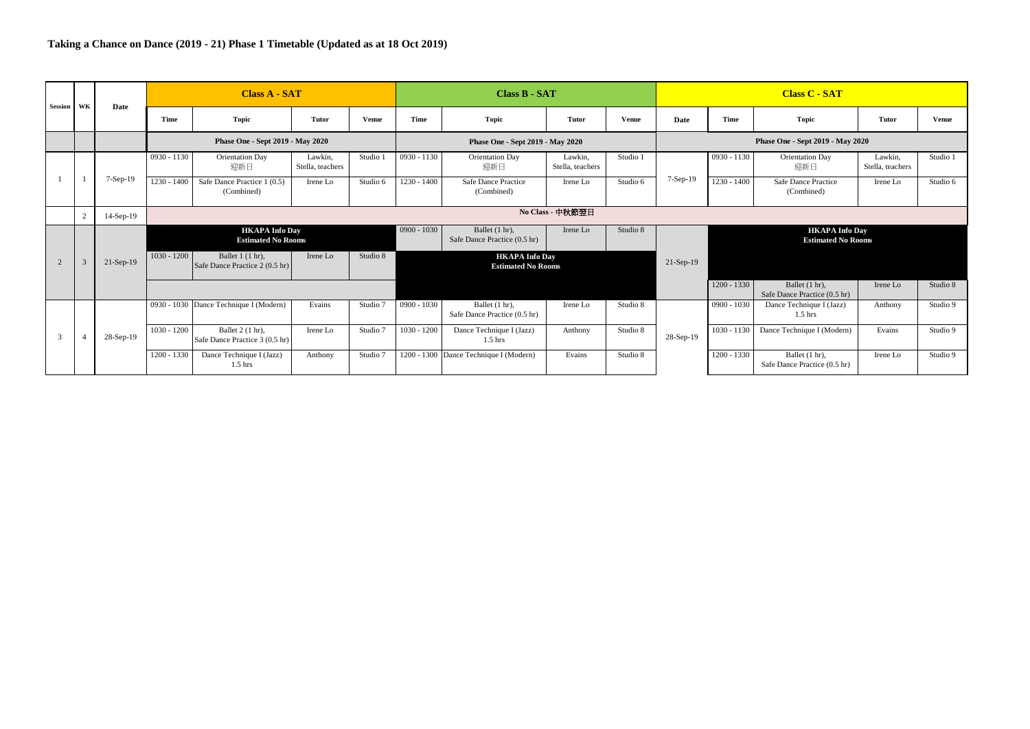| Session       | WK            | Date        |               | <b>Class A - SAT</b>                               |                             |              |               | <b>Class B - SAT</b>                               |                             |              |                                  |               | <b>Class C - SAT</b>                               |                             |              |  |  |
|---------------|---------------|-------------|---------------|----------------------------------------------------|-----------------------------|--------------|---------------|----------------------------------------------------|-----------------------------|--------------|----------------------------------|---------------|----------------------------------------------------|-----------------------------|--------------|--|--|
|               |               |             | Time          | <b>Topic</b>                                       | <b>Tutor</b>                | <b>Venue</b> | Time          | Topic                                              | Tutor                       | <b>Venue</b> | Date                             | Time          | <b>Topic</b>                                       | Tutor                       | <b>Venue</b> |  |  |
|               |               |             |               | Phase One - Sept 2019 - May 2020                   |                             |              |               | Phase One - Sept 2019 - May 2020                   |                             |              | Phase One - Sept 2019 - May 2020 |               |                                                    |                             |              |  |  |
|               |               |             | $0930 - 1130$ | <b>Orientation Day</b><br>迎新日                      | Lawkin.<br>Stella, teachers | Studio 1     | $0930 - 1130$ | Orientation Day<br>迎新日                             | Lawkin.<br>Stella, teachers | Studio 1     |                                  | $0930 - 1130$ | Orientation Day<br>迎新日                             | Lawkin.<br>Stella, teachers | Studio 1     |  |  |
|               |               | $7-Sep-19$  | $1230 - 1400$ | Safe Dance Practice 1 (0.5)<br>(Combined)          | Irene Lo                    | Studio 6     | $1230 - 1400$ | Safe Dance Practice<br>(Combined)                  | Irene Lo                    | Studio 6     | $7-Sep-19$                       | $1230 - 1400$ | Safe Dance Practice<br>(Combined)                  | Irene Lo                    | Studio 6     |  |  |
|               | 2             | $14-Sep-19$ |               |                                                    |                             |              |               |                                                    | No Class - 中秋節翌日            |              |                                  |               |                                                    |                             |              |  |  |
|               |               |             |               | <b>HKAPA Info Day</b><br><b>Estimated No Rooms</b> |                             |              | $0900 - 1030$ | Ballet (1 hr),<br>Safe Dance Practice (0.5 hr)     | Irene Lo                    | Studio 8     |                                  |               | <b>HKAPA Info Day</b><br><b>Estimated No Rooms</b> |                             |              |  |  |
| 2             | $\mathcal{R}$ | $21-Sep-19$ | $1030 - 1200$ | Ballet 1 (1 hr).<br>Safe Dance Practice 2 (0.5 hr) | Irene Lo                    | Studio 8     |               | <b>HKAPA Info Day</b><br><b>Estimated No Rooms</b> |                             |              | $21-Sep-19$                      |               |                                                    |                             |              |  |  |
|               |               |             |               |                                                    |                             |              |               |                                                    |                             |              |                                  | $1200 - 1330$ | Ballet (1 hr),<br>Safe Dance Practice (0.5 hr)     | Irene Lo                    | Studio 8     |  |  |
|               |               |             |               | 0930 - 1030 Dance Technique I (Modern)             | Evains                      | Studio 7     | $0900 - 1030$ | Ballet (1 hr),<br>Safe Dance Practice (0.5 hr)     | Irene Lo                    | Studio 8     |                                  | $0900 - 1030$ | Dance Technique I (Jazz)<br>$1.5$ hrs              | Anthony                     | Studio 9     |  |  |
| $\mathcal{R}$ |               | 28-Sep-19   | $1030 - 1200$ | Ballet 2 (1 hr).<br>Safe Dance Practice 3 (0.5 hr) | Irene Lo                    | Studio 7     | $1030 - 1200$ | Dance Technique I (Jazz)<br>$1.5$ hrs              | Anthony                     | Studio 8     | 28-Sep-19                        | $1030 - 1130$ | Dance Technique I (Modern)                         | Evains                      | Studio 9     |  |  |
|               |               |             | $1200 - 1330$ | Dance Technique I (Jazz)<br>$1.5$ hrs              | Anthony                     | Studio 7     |               | 1200 - 1300 Dance Technique I (Modern)             | Evains                      | Studio 8     |                                  | $1200 - 1330$ | Ballet (1 hr),<br>Safe Dance Practice (0.5 hr)     | Irene Lo                    | Studio 9     |  |  |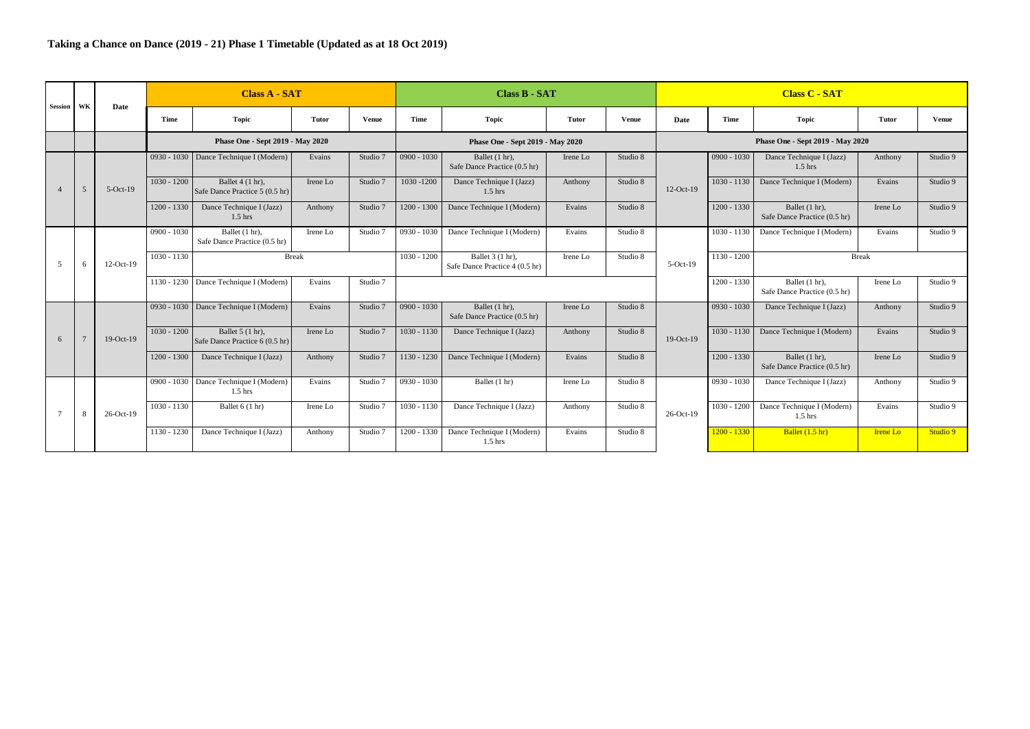| <b>Session</b>       | WK             | Date          |                          | <b>Class A - SAT</b>                                |              |               |                                         | <b>Class B - SAT</b>                               |              |              | <b>Class C - SAT</b> |                           |                                                |              |              |  |
|----------------------|----------------|---------------|--------------------------|-----------------------------------------------------|--------------|---------------|-----------------------------------------|----------------------------------------------------|--------------|--------------|----------------------|---------------------------|------------------------------------------------|--------------|--------------|--|
|                      |                |               | Time                     | <b>Topic</b>                                        | <b>Tutor</b> | Venue         | Time                                    | Topic                                              | <b>Tutor</b> | <b>Venue</b> | Date                 | Time                      | <b>Topic</b>                                   | Tutor        | <b>Venue</b> |  |
|                      |                |               |                          | Phase One - Sept 2019 - May 2020                    |              |               |                                         | Phase One - Sept 2019 - May 2020                   |              |              |                      |                           | Phase One - Sept 2019 - May 2020               |              |              |  |
|                      |                |               |                          | 0930 - 1030   Dance Technique I (Modern)            | Evains       | Studio 7      | $0900 - 1030$                           | Ballet (1 hr).<br>Safe Dance Practice (0.5 hr)     | Irene Lo     | Studio 8     |                      | $0900 - 1030$             | Dance Technique I (Jazz)<br>$1.5$ hrs          | Anthony      | Studio 9     |  |
| $\overline{A}$       | 5              | $5-Oct-19$    | $1030 - 1200$            | Ballet 4 (1 hr).<br>Safe Dance Practice 5 (0.5 hr)  | Irene Lo     | Studio 7      | 1030-1200                               | Dance Technique I (Jazz)<br>$1.5$ hrs              | Anthony      | Studio 8     | $12$ -Oct-19         | $1030 - 1130$             | Dance Technique I (Modern)                     | Evains       | Studio 9     |  |
|                      |                |               | $1200 - 1330$            | Dance Technique I (Jazz)<br>$1.5$ hrs               | Anthony      | Studio 7      | $1200 - 1300$                           | Dance Technique I (Modern)                         | Evains       | Studio 8     |                      | $1200 - 1330$             | Ballet (1 hr).<br>Safe Dance Practice (0.5 hr) | Irene Lo     | Studio 9     |  |
|                      |                |               | $0900 - 1030$            | Ballet (1 hr).<br>Safe Dance Practice (0.5 hr)      | Irene Lo     | Studio 7      | $0930 - 1030$                           | Dance Technique I (Modern)                         | Evains       | Studio 8     |                      | $1030 - 1130$             | Dance Technique I (Modern)                     | Evains       | Studio 9     |  |
| 5                    | 6              | $12$ -Oct-19  | $1030 - 1130$            |                                                     | <b>Break</b> |               | $1030 - 1200$                           | Ballet 3 (1 hr).<br>Safe Dance Practice 4 (0.5 hr) | Irene Lo     | Studio 8     | $5-Oct-19$           | $1130 - 1200$             |                                                | <b>Break</b> |              |  |
|                      |                |               |                          | 1130 - 1230 Dance Technique I (Modern)              | Evains       | Studio 7      |                                         |                                                    |              |              |                      | $1200 - 1330$             | Ballet (1 hr).<br>Safe Dance Practice (0.5 hr) | Irene Lo     | Studio 9     |  |
|                      |                |               |                          | 0930 - 1030   Dance Technique I (Modern)            | Evains       | Studio 7      | $0900 - 1030$                           | Ballet (1 hr).<br>Safe Dance Practice (0.5 hr)     | Irene Lo     | Studio 8     |                      | $0930 - 1030$             | Dance Technique I (Jazz)                       | Anthony      | Studio 9     |  |
| 6                    | $\overline{7}$ | $19-Oct-19$   | $1030 - 1200$            | Ballet 5 (1 hr).<br>Safe Dance Practice 6 (0.5 hr)  | Irene Lo     | Studio 7      | $1030 - 1130$                           | Dance Technique I (Jazz)                           | Anthony      | Studio 8     | $19-Oct-19$          | $1030 - 1130$             | Dance Technique I (Modern)                     | Evains       | Studio 9     |  |
|                      |                |               | $1200 - 1300$            | Dance Technique I (Jazz)                            | Anthony      | Studio 7      | 1130 - 1230                             | Dance Technique I (Modern)                         | Evains       | Studio 8     |                      | $1200 - 1330$             | Ballet (1 hr).<br>Safe Dance Practice (0.5 hr) | Irene Lo     | Studio 9     |  |
|                      |                |               |                          | 0900 - 1030 Dance Technique I (Modern)<br>$1.5$ hrs | Evains       | Studio 7      | $0930 - 1030$                           | Ballet (1 hr)                                      | Irene Lo     | Studio 8     |                      | $0930 - 1030$             | Dance Technique I (Jazz)                       | Anthony      | Studio 9     |  |
| $7\phantom{.0}$<br>8 |                | 26-Oct-19     | $1030 - 1130$            | Ballet 6 (1 hr)                                     | Irene Lo     | Studio 7      | $1030 - 1130$                           | Dance Technique I (Jazz)                           | Anthony      | Studio 8     | $26-Oct-19$          | $1030 - 1200$             | Dance Technique I (Modern)<br>$1.5$ hrs        | Evains       | Studio 9     |  |
|                      |                | $1130 - 1230$ | Dance Technique I (Jazz) | Anthony                                             | Studio 7     | $1200 - 1330$ | Dance Technique I (Modern)<br>$1.5$ hrs | Evains                                             | Studio 8     |              | $1200 - 1330$        | Ballet $(1.5 \text{ hr})$ | <b>Irene Lo</b>                                | Studio 9     |              |  |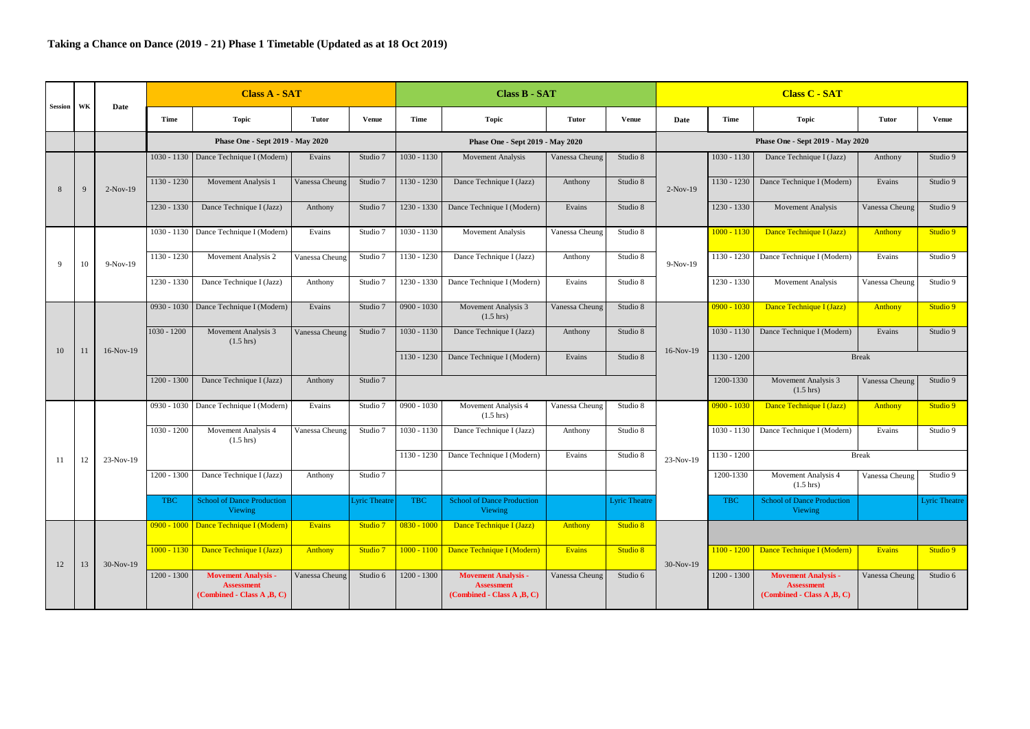| Session      | WK | Date        |               | <b>Class A - SAT</b>                                                          |                |                     |               | Class B - SAT                                                                 |                |                      |             |               | <b>Class C - SAT</b>                                                          |                |                      |
|--------------|----|-------------|---------------|-------------------------------------------------------------------------------|----------------|---------------------|---------------|-------------------------------------------------------------------------------|----------------|----------------------|-------------|---------------|-------------------------------------------------------------------------------|----------------|----------------------|
|              |    |             | <b>Time</b>   | <b>Topic</b>                                                                  | <b>Tutor</b>   | Venue               | <b>Time</b>   | <b>Topic</b>                                                                  | <b>Tutor</b>   | <b>Venue</b>         | Date        | <b>Time</b>   | Topic                                                                         | <b>Tutor</b>   | <b>Venue</b>         |
|              |    |             |               | Phase One - Sept 2019 - May 2020                                              |                |                     |               | Phase One - Sept 2019 - May 2020                                              |                |                      |             |               | Phase One - Sept 2019 - May 2020                                              |                |                      |
|              |    |             |               | 1030 - 1130   Dance Technique I (Modern)                                      | Evains         | Studio 7            | $1030 - 1130$ | <b>Movement Analysis</b>                                                      | Vanessa Cheung | Studio 8             |             | $1030 - 1130$ | Dance Technique I (Jazz)                                                      | Anthony        | Studio 9             |
| 8            | 9  | $2-Nov-19$  | 1130 - 1230   | Movement Analysis 1                                                           | Vanessa Cheung | Studio 7            | 1130 - 1230   | Dance Technique I (Jazz)                                                      | Anthony        | Studio 8             | $2-Nov-19$  | $1130 - 1230$ | Dance Technique I (Modern)                                                    | Evains         | Studio 9             |
|              |    |             | 1230 - 1330   | Dance Technique I (Jazz)                                                      | Anthony        | Studio 7            | 1230 - 1330   | Dance Technique I (Modern)                                                    | Evains         | Studio 8             |             | 1230 - 1330   | <b>Movement Analysis</b>                                                      | Vanessa Cheung | Studio 9             |
|              |    |             | 1030 - 1130   | Dance Technique I (Modern)                                                    | Evains         | Studio 7            | 1030 - 1130   | <b>Movement Analysis</b>                                                      | Vanessa Cheung | Studio 8             |             | $1000 - 1130$ | Dance Technique I (Jazz)                                                      | Anthony        | Studio 9             |
| $\mathbf{Q}$ | 10 | $9-Nov-19$  | $1130 - 1230$ | Movement Analysis 2                                                           | Vanessa Cheung | Studio 7            | 1130 - 1230   | Dance Technique I (Jazz)                                                      | Anthony        | Studio 8             | $9-Nov-19$  | 1130 - 1230   | Dance Technique I (Modern)                                                    | Evains         | Studio 9             |
|              |    |             | 1230 - 1330   | Dance Technique I (Jazz)                                                      | Anthony        | Studio 7            | 1230 - 1330   | Dance Technique I (Modern)                                                    | Evains         | Studio 8             |             | 1230 - 1330   | <b>Movement Analysis</b>                                                      | Vanessa Cheung | Studio 9             |
|              |    |             | $0930 - 1030$ | Dance Technique I (Modern)                                                    | Evains         | Studio 7            | $0900 - 1030$ | Movement Analysis 3<br>$(1.5 \text{ hrs})$                                    | Vanessa Cheung | Studio 8             |             | $0900 - 1030$ | Dance Technique I (Jazz)                                                      | <b>Anthony</b> | Studio 9             |
| 10           |    | $16-Nov-19$ | $1030 - 1200$ | Movement Analysis 3<br>$(1.5 \text{ hrs})$                                    | Vanessa Cheung | Studio 7            | $1030 - 1130$ | Dance Technique I (Jazz)                                                      | Anthony        | Studio 8             |             | 1030 - 1130   | Dance Technique I (Modern)                                                    | Evains         | Studio 9             |
|              | 11 |             |               |                                                                               |                |                     | 1130 - 1230   | Dance Technique I (Modern)                                                    | Evains         | Studio 8             | 16-Nov-19   | 1130 - 1200   |                                                                               | <b>Break</b>   |                      |
|              |    |             | $1200 - 1300$ | Dance Technique I (Jazz)                                                      | Anthony        | Studio 7            |               |                                                                               |                |                      |             | 1200-1330     | Movement Analysis 3<br>$(1.5 \text{ hrs})$                                    | Vanessa Cheung | Studio 9             |
|              |    |             | $0930 - 1030$ | Dance Technique I (Modern)                                                    | Evains         | Studio 7            | $0900 - 1030$ | Movement Analysis 4<br>$(1.5 \text{ hrs})$                                    | Vanessa Cheung | Studio 8             |             | $0900 - 1030$ | Dance Technique I (Jazz)                                                      | Anthony        | Studio 9             |
|              |    |             | $1030 - 1200$ | Movement Analysis 4<br>$(1.5 \text{ hrs})$                                    | Vanessa Cheung | Studio 7            | $1030 - 1130$ | Dance Technique I (Jazz)                                                      | Anthony        | Studio 8             |             | $1030 - 1130$ | Dance Technique I (Modern)                                                    | Evains         | Studio 9             |
| 11           | 12 | 23-Nov-19   |               |                                                                               |                |                     | 1130 - 1230   | Dance Technique I (Modern)                                                    | Evains         | Studio 8             | 23-Nov-19   | 1130 - 1200   |                                                                               | <b>Break</b>   |                      |
|              |    |             | 1200 - 1300   | Dance Technique I (Jazz)                                                      | Anthony        | Studio 7            |               |                                                                               |                |                      |             | 1200-1330     | Movement Analysis 4<br>$(1.5 \text{ hrs})$                                    | Vanessa Cheung | Studio 9             |
|              |    |             | <b>TBC</b>    | <b>School of Dance Production</b><br>Viewing                                  |                | <b>Lyric Theatr</b> | <b>TBC</b>    | <b>School of Dance Production</b><br>Viewing                                  |                | <b>Lyric Theatre</b> |             | <b>TBC</b>    | <b>School of Dance Production</b><br>Viewing                                  |                | <b>Lyric Theatre</b> |
|              |    |             |               | 0900 - 1000 Dance Technique I (Modern)                                        | Evains         | Studio 7            | $0830 - 1000$ | Dance Technique I (Jazz)                                                      | Anthony        | Studio 8             |             |               |                                                                               |                |                      |
| 12           | 13 | $30-Nov-19$ | $1000 - 1130$ | Dance Technique I (Jazz)                                                      | Anthony        | Studio 7            | $1000 - 1100$ | Dance Technique I (Modern)                                                    | Evains         | Studio 8             | $30-Nov-19$ | $1100 - 1200$ | Dance Technique I (Modern)                                                    | Evains         | Studio 9             |
|              |    |             | $1200 - 1300$ | <b>Movement Analysis -</b><br><b>Assessment</b><br>(Combined - Class A, B, C) | Vanessa Cheung | Studio 6            | $1200 - 1300$ | <b>Movement Analysis -</b><br><b>Assessment</b><br>(Combined - Class A, B, C) | Vanessa Cheung | Studio 6             |             | $1200 - 1300$ | <b>Movement Analysis -</b><br><b>Assessment</b><br>(Combined - Class A .B. C) | Vanessa Cheung | Studio 6             |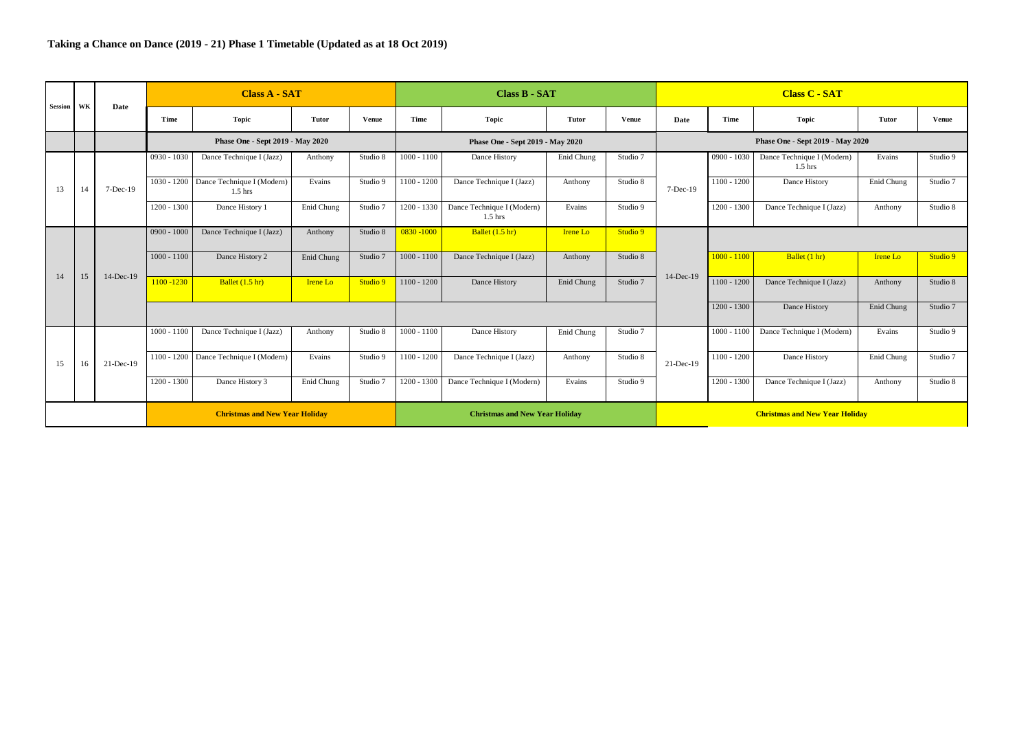| Session WK |    | Date         |               | <b>Class A - SAT</b>                    |                 |          |               | <b>Class B - SAT</b>                    |                 |              | <b>Class C - SAT</b>                  |               |                                         |                 |              |  |  |
|------------|----|--------------|---------------|-----------------------------------------|-----------------|----------|---------------|-----------------------------------------|-----------------|--------------|---------------------------------------|---------------|-----------------------------------------|-----------------|--------------|--|--|
|            |    |              | Time          | <b>Topic</b>                            | Tutor           | Venue    | Time          | Topic                                   | Tutor           | <b>Venue</b> | Date                                  | Time          | <b>Topic</b>                            | Tutor           | <b>Venue</b> |  |  |
|            |    |              |               | Phase One - Sept 2019 - May 2020        |                 |          |               | Phase One - Sept 2019 - May 2020        |                 |              |                                       |               | Phase One - Sept 2019 - May 2020        |                 |              |  |  |
|            |    |              | $0930 - 1030$ | Dance Technique I (Jazz)                | Anthony         | Studio 8 | $1000 - 1100$ | Dance History                           | Enid Chung      | Studio 7     |                                       | $0900 - 1030$ | Dance Technique I (Modern)<br>$1.5$ hrs | Evains          | Studio 9     |  |  |
| 13         | 14 | $7-Dec-19$   | $1030 - 1200$ | Dance Technique I (Modern)<br>$1.5$ hrs | Evains          | Studio 9 | $1100 - 1200$ | Dance Technique I (Jazz)                | Anthony         | Studio 8     | $7-Dec-19$                            | $1100 - 1200$ | Dance History                           | Enid Chung      | Studio 7     |  |  |
|            |    |              | $1200 - 1300$ | Dance History 1                         | Enid Chung      | Studio 7 | 1200 - 1330   | Dance Technique I (Modern)<br>$1.5$ hrs | Evains          | Studio 9     |                                       | $1200 - 1300$ | Dance Technique I (Jazz)                | Anthony         | Studio 8     |  |  |
|            |    | $14$ -Dec-19 | $0900 - 1000$ | Dance Technique I (Jazz)                | Anthony         | Studio 8 | $0830 - 1000$ | Ballet $(1.5 \text{ hr})$               | <b>Irene Lo</b> | Studio 9     |                                       |               |                                         |                 |              |  |  |
| 14         |    |              | $1000 - 1100$ | Dance History 2                         | Enid Chung      | Studio 7 | $1000 - 1100$ | Dance Technique I (Jazz)                | Anthony         | Studio 8     | 14-Dec-19                             | $1000 - 1100$ | Ballet (1 hr)                           | <b>Irene Lo</b> | Studio 9     |  |  |
|            | 15 |              | 1100 - 1230   | Ballet $(1.5 \text{ hr})$               | <b>Irene Lo</b> | Studio 9 | $1100 - 1200$ | Dance History                           | Enid Chung      | Studio 7     |                                       | $1100 - 1200$ | Dance Technique I (Jazz)                | Anthony         | Studio 8     |  |  |
|            |    |              |               |                                         |                 |          |               |                                         |                 |              |                                       | $1200 - 1300$ | Dance History                           | Enid Chung      | Studio 7     |  |  |
|            |    |              | $1000 - 1100$ | Dance Technique I (Jazz)                | Anthony         | Studio 8 | $1000 - 1100$ | Dance History                           | Enid Chung      | Studio 7     |                                       | $1000 - 1100$ | Dance Technique I (Modern)              | Evains          | Studio 9     |  |  |
| 15         | 16 | 21-Dec-19    | $1100 - 1200$ | Dance Technique I (Modern)              | Evains          | Studio 9 | $1100 - 1200$ | Dance Technique I (Jazz)                | Anthony         | Studio 8     | $21-Dec-19$                           | $1100 - 1200$ | Dance History                           | Enid Chung      | Studio 7     |  |  |
|            |    |              | $1200 - 1300$ | Dance History 3                         | Enid Chung      | Studio 7 | $1200 - 1300$ | Dance Technique I (Modern)              | Evains          | Studio 9     |                                       | 1200 - 1300   | Dance Technique I (Jazz)                | Anthony         | Studio 8     |  |  |
|            |    |              |               | <b>Christmas and New Year Holiday</b>   |                 |          |               | <b>Christmas and New Year Holiday</b>   |                 |              | <b>Christmas and New Year Holiday</b> |               |                                         |                 |              |  |  |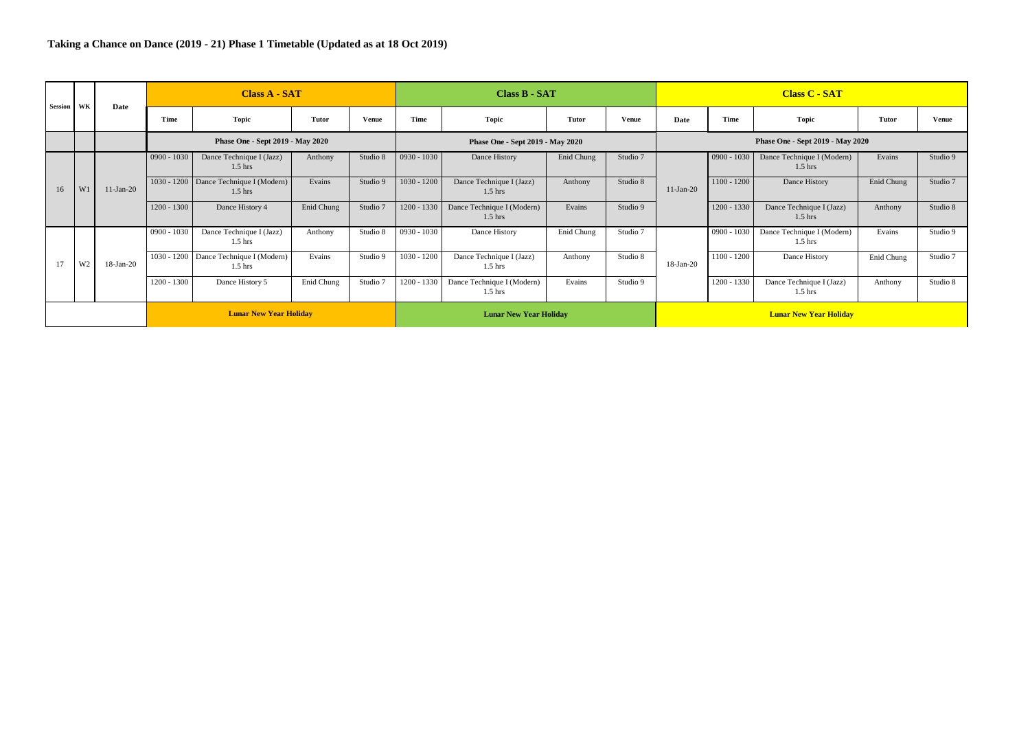| Session | WK             | Date         |               | <b>Class A - SAT</b>                                |            |          |                               | Class B - SAT                           |              |              | <b>Class C - SAT</b>             |               |                                         |            |          |  |  |
|---------|----------------|--------------|---------------|-----------------------------------------------------|------------|----------|-------------------------------|-----------------------------------------|--------------|--------------|----------------------------------|---------------|-----------------------------------------|------------|----------|--|--|
|         |                |              | Time          | Topic                                               | Tutor      | Venue    | Time                          | Topic                                   | <b>Tutor</b> | <b>Venue</b> | Date                             | Time          | Topic                                   | Tutor      | Venue    |  |  |
|         |                |              |               | Phase One - Sept 2019 - May 2020                    |            |          |                               | Phase One - Sept 2019 - May 2020        |              |              | Phase One - Sept 2019 - May 2020 |               |                                         |            |          |  |  |
|         |                |              | $0900 - 1030$ | Dance Technique I (Jazz)<br>$1.5$ hrs               | Anthony    | Studio 8 | $0930 - 1030$                 | Dance History                           | Enid Chung   | Studio 7     |                                  | $0900 - 1030$ | Dance Technique I (Modern)<br>$1.5$ hrs | Evains     | Studio 9 |  |  |
| 16      | W              | $11-Jan-20$  |               | 1030 - 1200 Dance Technique I (Modern)<br>$1.5$ hrs | Evains     | Studio 9 | $1030 - 1200$                 | Dance Technique I (Jazz)<br>$1.5$ hrs   | Anthony      | Studio 8     | $11-Jan-20$                      | $1100 - 1200$ | Dance History                           | Enid Chung | Studio 7 |  |  |
|         |                |              | $1200 - 1300$ | Dance History 4                                     | Enid Chung | Studio 7 | 1200 - 1330                   | Dance Technique I (Modern)<br>$1.5$ hrs | Evains       | Studio 9     |                                  | 1200 - 1330   | Dance Technique I (Jazz)<br>$1.5$ hrs   | Anthony    | Studio 8 |  |  |
|         |                |              | $0900 - 1030$ | Dance Technique I (Jazz)<br>$1.5$ hrs               | Anthony    | Studio 8 | $0930 - 1030$                 | Dance History                           | Enid Chung   | Studio 7     |                                  | $0900 - 1030$ | Dance Technique I (Modern)<br>$1.5$ hrs | Evains     | Studio 9 |  |  |
| 17      | W <sub>2</sub> | $18$ -Jan-20 |               | 1030 - 1200 Dance Technique I (Modern)<br>$1.5$ hrs | Evains     | Studio 9 | $1030 - 1200$                 | Dance Technique I (Jazz)<br>$1.5$ hrs   | Anthony      | Studio 8     | $18$ -Jan-20                     | $1100 - 1200$ | Dance History                           | Enid Chung | Studio 7 |  |  |
|         |                |              | $1200 - 1300$ | Dance History 5                                     | Enid Chung | Studio 7 | 1200 - 1330                   | Dance Technique I (Modern)<br>$1.5$ hrs | Evains       | Studio 9     |                                  | 1200 - 1330   | Dance Technique I (Jazz)<br>$1.5$ hrs   | Anthony    | Studio 8 |  |  |
|         |                |              |               | <b>Lunar New Year Holiday</b>                       |            |          | <b>Lunar New Year Holiday</b> |                                         |              |              | <b>Lunar New Year Holiday</b>    |               |                                         |            |          |  |  |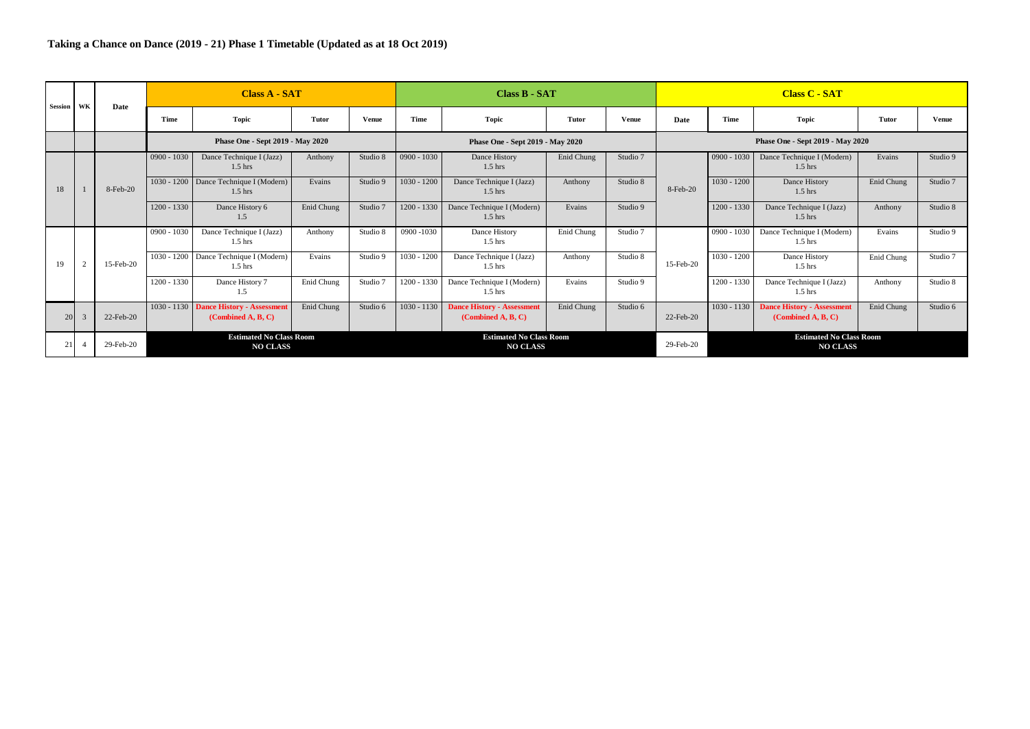| Session | WK                                                                   | Date      |               | <b>Class A - SAT</b>                                         |            |              |               | Class B - SAT                                           |            |          |                                  |                                                   | <b>Class C - SAT</b>                                    |            |              |  |  |
|---------|----------------------------------------------------------------------|-----------|---------------|--------------------------------------------------------------|------------|--------------|---------------|---------------------------------------------------------|------------|----------|----------------------------------|---------------------------------------------------|---------------------------------------------------------|------------|--------------|--|--|
|         |                                                                      |           | Time          | <b>Topic</b>                                                 | Tutor      | <b>Venue</b> | Time          | Topic                                                   | Tutor      | Venue    | Date                             | Time                                              | <b>Topic</b>                                            | Tutor      | <b>Venue</b> |  |  |
|         |                                                                      |           |               | Phase One - Sept 2019 - May 2020                             |            |              |               | Phase One - Sept 2019 - May 2020                        |            |          | Phase One - Sept 2019 - May 2020 |                                                   |                                                         |            |              |  |  |
|         |                                                                      |           | $0900 - 1030$ | Dance Technique I (Jazz)<br>$1.5$ hrs                        | Anthony    | Studio 8     | $0900 - 1030$ | Dance History<br>$1.5$ hrs                              | Enid Chung | Studio 7 |                                  | $0900 - 1030$                                     | Dance Technique I (Modern)<br>$1.5$ hrs                 | Evains     | Studio 9     |  |  |
| 18      |                                                                      | 8-Feb-20  |               | 1030 - 1200 Dance Technique I (Modern)<br>$1.5$ hrs          | Evains     | Studio 9     | $1030 - 1200$ | Dance Technique I (Jazz)<br>$1.5$ hrs                   | Anthony    | Studio 8 | 8-Feb-20                         | $1030 - 1200$                                     | Dance History<br>$1.5$ hrs                              | Enid Chung | Studio 7     |  |  |
|         |                                                                      |           | $1200 - 1330$ | Dance History 6<br>1.5                                       | Enid Chung | Studio 7     | 1200 - 1330   | Dance Technique I (Modern)<br>$1.5$ hrs                 | Evains     | Studio 9 |                                  | 1200 - 1330                                       | Dance Technique I (Jazz)<br>$1.5$ hrs                   | Anthony    | Studio 8     |  |  |
|         |                                                                      |           | $0900 - 1030$ | Dance Technique I (Jazz)<br>$1.5$ hrs                        | Anthony    | Studio 8     | 0900 -1030    | Dance History<br>$1.5$ hrs                              | Enid Chung | Studio 7 |                                  | $0900 - 1030$                                     | Dance Technique I (Modern)<br>$1.5$ hrs                 | Evains     | Studio 9     |  |  |
| 19      | 2                                                                    | 15-Feb-20 |               | 1030 - 1200 Dance Technique I (Modern)<br>$1.5$ hrs          | Evains     | Studio 9     | $1030 - 1200$ | Dance Technique I (Jazz)<br>$1.5$ hrs                   | Anthony    | Studio 8 | 15-Feb-20                        | $1030 - 1200$                                     | Dance History<br>$1.5$ hrs                              | Enid Chung | Studio 7     |  |  |
|         |                                                                      |           | $1200 - 1330$ | Dance History 7<br>1.5                                       | Enid Chung | Studio 7     | 1200 - 1330   | Dance Technique I (Modern)<br>$1.5$ hrs                 | Evains     | Studio 9 |                                  | 1200 - 1330                                       | Dance Technique I (Jazz)<br>$1.5$ hrs                   | Anthony    | Studio 8     |  |  |
| 20      |                                                                      | 22-Feb-20 |               | 1030 - 1130 Dance History - Assessment<br>(Combined A, B, C) | Enid Chung | Studio 6     | $1030 - 1130$ | <b>Dance History - Assessment</b><br>(Combined A, B, C) | Enid Chung | Studio 6 | 22-Feb-20                        | $1030 - 1130$                                     | <b>Dance History - Assessment</b><br>(Combined A, B, C) | Enid Chung | Studio 6     |  |  |
|         | <b>Estimated No Class Room</b><br>21<br>29-Feb-20<br><b>NO CLASS</b> |           |               |                                                              |            |              |               | <b>Estimated No Class Room</b><br><b>NO CLASS</b>       |            |          | 29-Feb-20                        | <b>Estimated No Class Room</b><br><b>NO CLASS</b> |                                                         |            |              |  |  |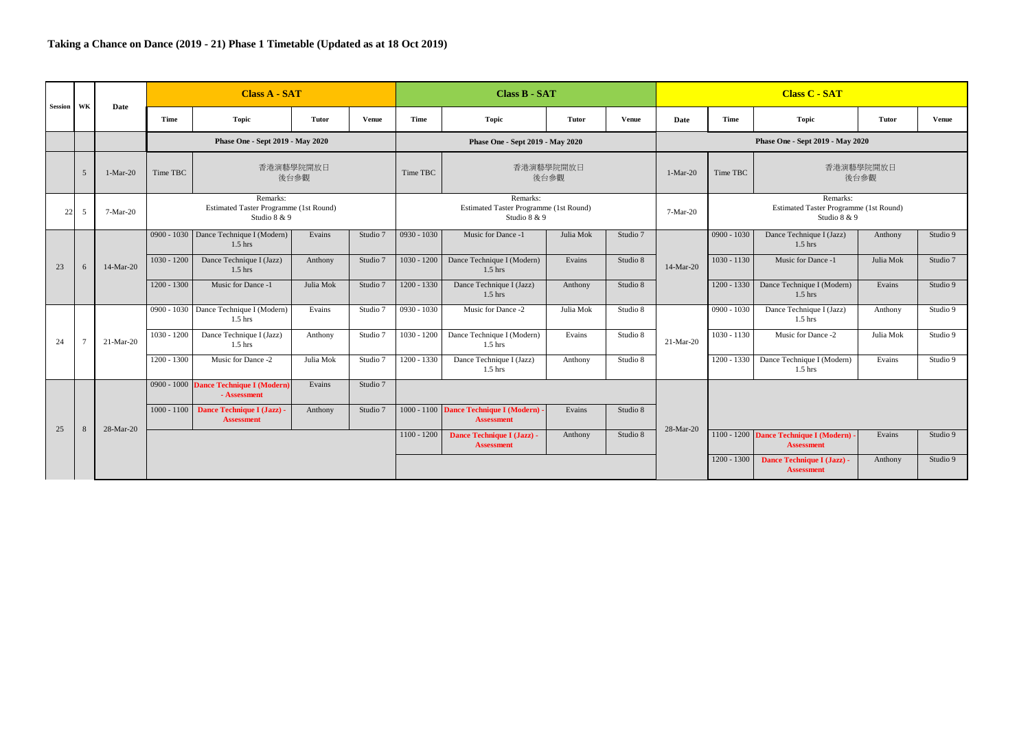| Session | <b>WK</b>      | Date        |               | <b>Class A - SAT</b>                                               |                   |              |               | <b>Class B - SAT</b>                                               |                   |              | <b>Class C - SAT</b> |                                                                           |                                                             |                   |              |
|---------|----------------|-------------|---------------|--------------------------------------------------------------------|-------------------|--------------|---------------|--------------------------------------------------------------------|-------------------|--------------|----------------------|---------------------------------------------------------------------------|-------------------------------------------------------------|-------------------|--------------|
|         |                |             | Time          | <b>Topic</b>                                                       | Tutor             | <b>Venue</b> | <b>Time</b>   | Topic                                                              | <b>Tutor</b>      | <b>Venue</b> | Date                 | Time                                                                      | <b>Topic</b>                                                | Tutor             | <b>Venue</b> |
|         |                |             |               | Phase One - Sept 2019 - May 2020                                   |                   |              |               | Phase One - Sept 2019 - May 2020                                   |                   |              |                      |                                                                           | Phase One - Sept 2019 - May 2020                            |                   |              |
|         | $\overline{5}$ | $1-Mar-20$  | Time TBC      |                                                                    | 香港演藝學院開放日<br>後台參觀 |              | Time TBC      |                                                                    | 香港演藝學院開放日<br>後台參觀 |              | $1-Mar-20$           | Time TBC                                                                  |                                                             | 香港演藝學院開放日<br>後台參觀 |              |
| 22      | 5              | 7-Mar-20    |               | Remarks:<br>Estimated Taster Programme (1st Round)<br>Studio 8 & 9 |                   |              |               | Remarks:<br>Estimated Taster Programme (1st Round)<br>Studio 8 & 9 |                   |              | 7-Mar-20             | Remarks:<br><b>Estimated Taster Programme (1st Round)</b><br>Studio 8 & 9 |                                                             |                   |              |
|         |                |             | $0900 - 1030$ | Dance Technique I (Modern)<br>$1.5$ hrs                            | Evains            | Studio 7     | $0930 - 1030$ | Music for Dance -1                                                 | Julia Mok         | Studio 7     |                      | $0900 - 1030$                                                             | Dance Technique I (Jazz)<br>$1.5$ hrs                       | Anthony           | Studio 9     |
| 23      | 6              | 14-Mar-20   | $1030 - 1200$ | Dance Technique I (Jazz)<br>$1.5$ hrs                              | Anthony           | Studio 7     | $1030 - 1200$ | Dance Technique I (Modern)<br>$1.5$ hrs                            | Evains            | Studio 8     | 14-Mar-20            | $1030 - 1130$                                                             | Music for Dance -1                                          | Julia Mok         | Studio 7     |
|         |                |             | $1200 - 1300$ | Music for Dance -1                                                 | Julia Mok         | Studio 7     | $1200 - 1330$ | Dance Technique I (Jazz)<br>$1.5$ hrs                              | Anthony           | Studio 8     |                      | 1200 - 1330                                                               | Dance Technique I (Modern)<br>$1.5$ hrs                     | Evains            | Studio 9     |
|         |                |             |               | 0900 - 1030 Dance Technique I (Modern)<br>$1.5$ hrs                | Evains            | Studio 7     | $0930 - 1030$ | Music for Dance -2                                                 | Julia Mok         | Studio 8     |                      | $0900 - 1030$                                                             | Dance Technique I (Jazz)<br>$1.5$ hrs                       | Anthony           | Studio 9     |
| 24      | $\tau$         | $21-Mar-20$ | $1030 - 1200$ | Dance Technique I (Jazz)<br>$1.5$ hrs                              | Anthony           | Studio 7     | $1030 - 1200$ | Dance Technique I (Modern)<br>$1.5$ hrs                            | Evains            | Studio 8     | 21-Mar-20            | $1030 - 1130$                                                             | Music for Dance -2                                          | Julia Mok         | Studio 9     |
|         |                |             | $1200 - 1300$ | Music for Dance -2                                                 | Julia Mok         | Studio 7     | $1200 - 1330$ | Dance Technique I (Jazz)<br>$1.5$ hrs                              | Anthony           | Studio 8     |                      | 1200 - 1330                                                               | Dance Technique I (Modern)<br>$1.5$ hrs                     | Evains            | Studio 9     |
|         |                |             |               | 0900 - 1000 Dance Technique I (Modern)<br>- Assessment             | Evains            | Studio 7     |               |                                                                    |                   |              |                      |                                                                           |                                                             |                   |              |
|         |                |             | $1000 - 1100$ | Dance Technique I (Jazz) -<br><b>Assessment</b>                    | Anthony           | Studio 7     |               | 1000 - 1100 Dance Technique I (Modern)<br><b>Assessment</b>        | Evains            | Studio 8     |                      |                                                                           |                                                             |                   |              |
| 25      | 8              | 28-Mar-20   |               |                                                                    |                   |              | $1100 - 1200$ | Dance Technique I (Jazz) -<br><b>Assessment</b>                    | Anthony           | Studio 8     | 28-Mar-20            |                                                                           | 1100 - 1200 Dance Technique I (Modern)<br><b>Assessment</b> | Evains            | Studio 9     |
|         |                |             |               |                                                                    |                   |              |               |                                                                    |                   |              |                      | $1200 - 1300$                                                             | Dance Technique I (Jazz) -<br><b>Assessment</b>             | Anthony           | Studio 9     |